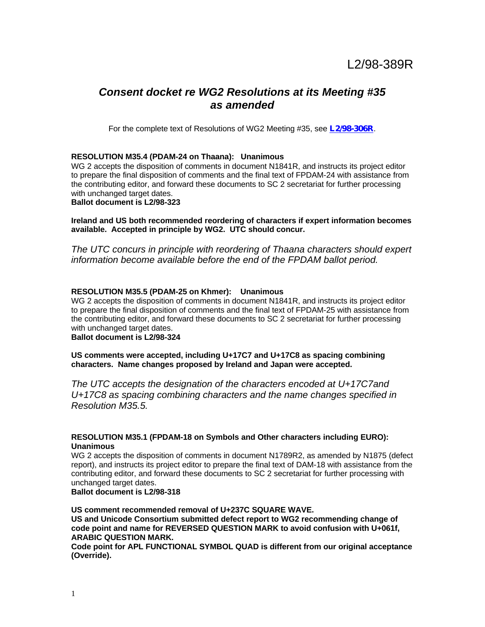# *Consent docket re WG2 Resolutions at its Meeting #35 as amended*

For the complete text of Resolutions of WG2 Meeting #35, see *L2/98-306R*.

# **RESOLUTION M35.4 (PDAM-24 on Thaana): Unanimous**

WG 2 accepts the disposition of comments in document N1841R, and instructs its project editor to prepare the final disposition of comments and the final text of FPDAM-24 with assistance from the contributing editor, and forward these documents to SC 2 secretariat for further processing with unchanged target dates.

**Ballot document is L2/98-323**

**Ireland and US both recommended reordering of characters if expert information becomes available. Accepted in principle by WG2. UTC should concur.**

*The UTC concurs in principle with reordering of Thaana characters should expert information become available before the end of the FPDAM ballot period.*

# **RESOLUTION M35.5 (PDAM-25 on Khmer): Unanimous**

WG 2 accepts the disposition of comments in document N1841R, and instructs its project editor to prepare the final disposition of comments and the final text of FPDAM-25 with assistance from the contributing editor, and forward these documents to SC 2 secretariat for further processing with unchanged target dates.

# **Ballot document is L2/98-324**

**US comments were accepted, including U+17C7 and U+17C8 as spacing combining characters. Name changes proposed by Ireland and Japan were accepted.**

*The UTC accepts the designation of the characters encoded at U+17C7and U+17C8 as spacing combining characters and the name changes specified in Resolution M35.5.*

# **RESOLUTION M35.1 (FPDAM-18 on Symbols and Other characters including EURO): Unanimous**

WG 2 accepts the disposition of comments in document N1789R2, as amended by N1875 (defect report), and instructs its project editor to prepare the final text of DAM-18 with assistance from the contributing editor, and forward these documents to SC 2 secretariat for further processing with unchanged target dates.

**Ballot document is L2/98-318**

**US comment recommended removal of U+237C SQUARE WAVE. US and Unicode Consortium submitted defect report to WG2 recommending change of code point and name for REVERSED QUESTION MARK to avoid confusion with U+061f, ARABIC QUESTION MARK.**

**Code point for APL FUNCTIONAL SYMBOL QUAD is different from our original acceptance (Override).**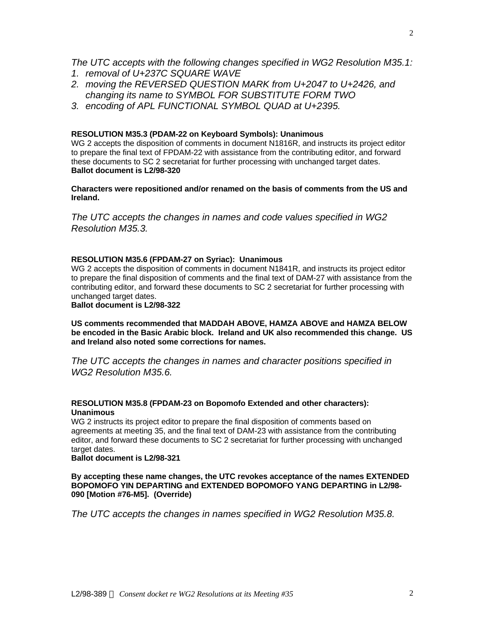- *1. removal of U+237C SQUARE WAVE*
- *2. moving the REVERSED QUESTION MARK from U+2047 to U+2426, and changing its name to SYMBOL FOR SUBSTITUTE FORM TWO*
- *3. encoding of APL FUNCTIONAL SYMBOL QUAD at U+2395.*

# **RESOLUTION M35.3 (PDAM-22 on Keyboard Symbols): Unanimous**

WG 2 accepts the disposition of comments in document N1816R, and instructs its project editor to prepare the final text of FPDAM-22 with assistance from the contributing editor, and forward these documents to SC 2 secretariat for further processing with unchanged target dates. **Ballot document is L2/98-320**

**Characters were repositioned and/or renamed on the basis of comments from the US and Ireland.**

*The UTC accepts the changes in names and code values specified in WG2 Resolution M35.3.*

# **RESOLUTION M35.6 (FPDAM-27 on Syriac): Unanimous**

WG 2 accepts the disposition of comments in document N1841R, and instructs its project editor to prepare the final disposition of comments and the final text of DAM-27 with assistance from the contributing editor, and forward these documents to SC 2 secretariat for further processing with unchanged target dates.

**Ballot document is L2/98-322**

**US comments recommended that MADDAH ABOVE, HAMZA ABOVE and HAMZA BELOW be encoded in the Basic Arabic block. Ireland and UK also recommended this change. US and Ireland also noted some corrections for names.**

*The UTC accepts the changes in names and character positions specified in WG2 Resolution M35.6.*

# **RESOLUTION M35.8 (FPDAM-23 on Bopomofo Extended and other characters): Unanimous**

WG 2 instructs its project editor to prepare the final disposition of comments based on agreements at meeting 35, and the final text of DAM-23 with assistance from the contributing editor, and forward these documents to SC 2 secretariat for further processing with unchanged target dates.

**Ballot document is L2/98-321**

**By accepting these name changes, the UTC revokes acceptance of the names EXTENDED BOPOMOFO YIN DEPARTING and EXTENDED BOPOMOFO YANG DEPARTING in L2/98- 090 [Motion #76-M5]. (Override)**

*The UTC accepts the changes in names specified in WG2 Resolution M35.8.*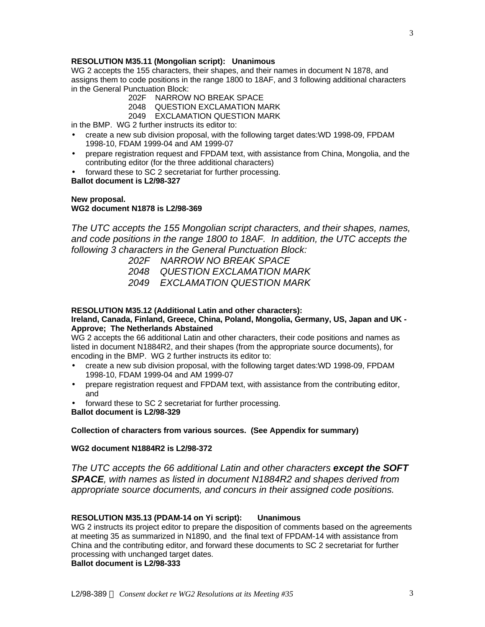## **RESOLUTION M35.11 (Mongolian script): Unanimous**

WG 2 accepts the 155 characters, their shapes, and their names in document N 1878, and assigns them to code positions in the range 1800 to 18AF, and 3 following additional characters in the General Punctuation Block:

- 202F NARROW NO BREAK SPACE
- 2048 QUESTION EXCLAMATION MARK
- 2049 EXCLAMATION QUESTION MARK

in the BMP. WG 2 further instructs its editor to:

- create a new sub division proposal, with the following target dates:WD 1998-09, FPDAM 1998-10, FDAM 1999-04 and AM 1999-07
- prepare registration request and FPDAM text, with assistance from China, Mongolia, and the contributing editor (for the three additional characters)
- forward these to SC 2 secretariat for further processing.

# **Ballot document is L2/98-327**

#### **New proposal. WG2 document N1878 is L2/98-369**

*The UTC accepts the 155 Mongolian script characters, and their shapes, names, and code positions in the range 1800 to 18AF. In addition, the UTC accepts the following 3 characters in the General Punctuation Block:*

- *202F NARROW NO BREAK SPACE*
- *2048 QUESTION EXCLAMATION MARK*
- *2049 EXCLAMATION QUESTION MARK*

# **RESOLUTION M35.12 (Additional Latin and other characters):**

#### **Ireland, Canada, Finland, Greece, China, Poland, Mongolia, Germany, US, Japan and UK - Approve; The Netherlands Abstained**

WG 2 accepts the 66 additional Latin and other characters, their code positions and names as listed in document N1884R2, and their shapes (from the appropriate source documents), for encoding in the BMP. WG 2 further instructs its editor to:

- create a new sub division proposal, with the following target dates:WD 1998-09, FPDAM 1998-10, FDAM 1999-04 and AM 1999-07
- prepare registration request and FPDAM text, with assistance from the contributing editor, and
- forward these to SC 2 secretariat for further processing.

**Ballot document is L2/98-329**

#### **Collection of characters from various sources. (See Appendix for summary)**

# **WG2 document N1884R2 is L2/98-372**

*The UTC accepts the 66 additional Latin and other characters except the SOFT SPACE, with names as listed in document N1884R2 and shapes derived from appropriate source documents, and concurs in their assigned code positions.*

#### **RESOLUTION M35.13 (PDAM-14 on Yi script): Unanimous**

WG 2 instructs its project editor to prepare the disposition of comments based on the agreements at meeting 35 as summarized in N1890, and the final text of FPDAM-14 with assistance from China and the contributing editor, and forward these documents to SC 2 secretariat for further processing with unchanged target dates.

**Ballot document is L2/98-333**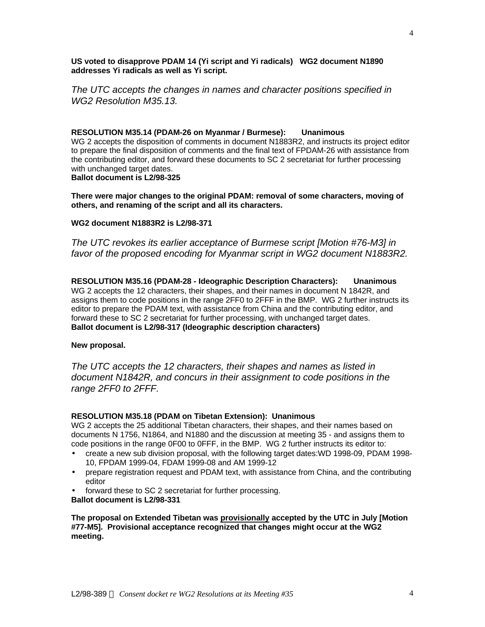**US voted to disapprove PDAM 14 (Yi script and Yi radicals) WG2 document N1890 addresses Yi radicals as well as Yi script.**

*The UTC accepts the changes in names and character positions specified in WG2 Resolution M35.13.*

#### **RESOLUTION M35.14 (PDAM-26 on Myanmar / Burmese): Unanimous**

WG 2 accepts the disposition of comments in document N1883R2, and instructs its project editor to prepare the final disposition of comments and the final text of FPDAM-26 with assistance from the contributing editor, and forward these documents to SC 2 secretariat for further processing with unchanged target dates. **Ballot document is L2/98-325**

**There were major changes to the original PDAM: removal of some characters, moving of others, and renaming of the script and all its characters.**

#### **WG2 document N1883R2 is L2/98-371**

*The UTC revokes its earlier acceptance of Burmese script [Motion #76-M3] in favor of the proposed encoding for Myanmar script in WG2 document N1883R2.*

**RESOLUTION M35.16 (PDAM-28 - Ideographic Description Characters): Unanimous** WG 2 accepts the 12 characters, their shapes, and their names in document N 1842R, and assigns them to code positions in the range 2FF0 to 2FFF in the BMP. WG 2 further instructs its editor to prepare the PDAM text, with assistance from China and the contributing editor, and forward these to SC 2 secretariat for further processing, with unchanged target dates. **Ballot document is L2/98-317 (Ideographic description characters)**

#### **New proposal.**

*The UTC accepts the 12 characters, their shapes and names as listed in document N1842R, and concurs in their assignment to code positions in the range 2FF0 to 2FFF.*

#### **RESOLUTION M35.18 (PDAM on Tibetan Extension): Unanimous**

WG 2 accepts the 25 additional Tibetan characters, their shapes, and their names based on documents N 1756, N1864, and N1880 and the discussion at meeting 35 - and assigns them to code positions in the range 0F00 to 0FFF, in the BMP. WG 2 further instructs its editor to:

- create a new sub division proposal, with the following target dates:WD 1998-09, PDAM 1998- 10, FPDAM 1999-04, FDAM 1999-08 and AM 1999-12
- prepare registration request and PDAM text, with assistance from China, and the contributing editor
- forward these to SC 2 secretariat for further processing.

**Ballot document is L2/98-331**

**The proposal on Extended Tibetan was provisionally accepted by the UTC in July [Motion #77-M5]. Provisional acceptance recognized that changes might occur at the WG2 meeting.**